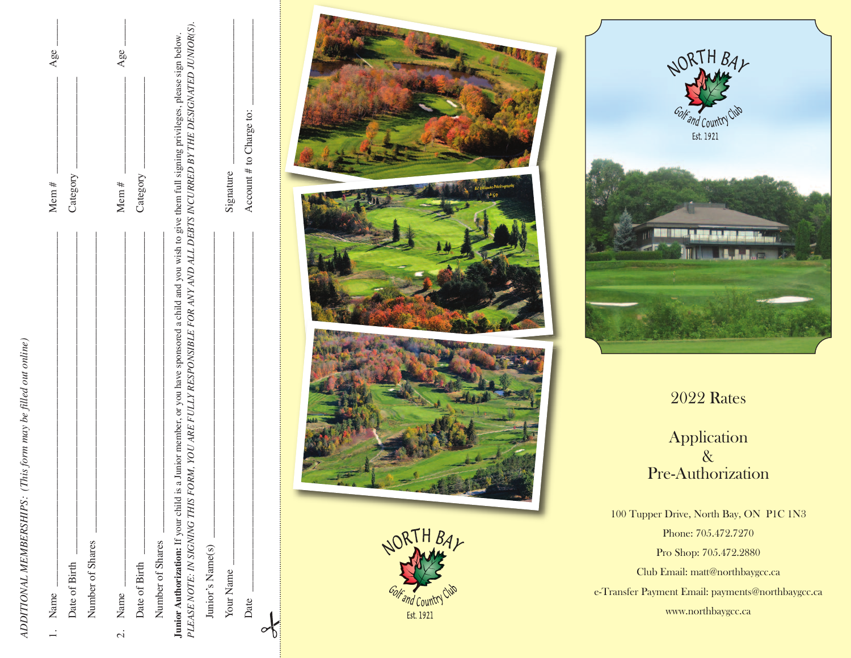ADDITIONAL MEMBERSHIPS: (This form may be filled out online) *AdditionAl MeMberships: (this form may be filled out online)*

| l. Name                                                                                                                                                                                                                                                                                    | Age.<br>Mem $#$         |  |
|--------------------------------------------------------------------------------------------------------------------------------------------------------------------------------------------------------------------------------------------------------------------------------------------|-------------------------|--|
| Date of Birth                                                                                                                                                                                                                                                                              | Category                |  |
| Number of Shares                                                                                                                                                                                                                                                                           |                         |  |
| 2. Name                                                                                                                                                                                                                                                                                    | Age.<br>Mem $#$         |  |
| Date of Birth                                                                                                                                                                                                                                                                              | Category                |  |
| Number of Shares                                                                                                                                                                                                                                                                           |                         |  |
| PLEASE NOTE: IN SIGNING THIS FORM, YOU ARE FULLY RESPONSIBLE FOR ANY AND ALL DEBTS INCURRED BY THE DESIGNATED JUNIOR(S).<br>a Junior member, or you have sponsored a child and you wish to give them full signing privileges, please sign below.<br>Junior Authorization: If your child is |                         |  |
| Junior's Name(s)                                                                                                                                                                                                                                                                           |                         |  |
| Your Name                                                                                                                                                                                                                                                                                  | Signature               |  |
| Date                                                                                                                                                                                                                                                                                       | Account # to Charge to: |  |
|                                                                                                                                                                                                                                                                                            |                         |  |







2022 Rates

Application & Pre-Authorization

100 Tupper Drive, North Bay, ON P1C 1N3 Phone: 705.472.7270 Pro Shop: 705.472.2880 Club Email: matt@northbaygcc.ca e-Transfer Payment Email: payments@northbaygcc.ca www.northbaygcc.ca